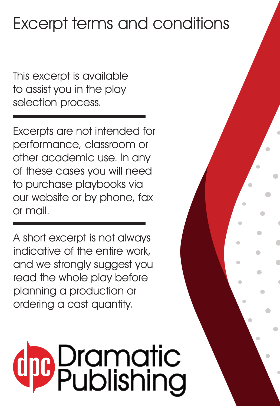# Excerpt terms and conditions

This excerpt is available to assist you in the play selection process.

Excerpts are not intended for performance, classroom or other academic use. In any of these cases you will need to purchase playbooks via our website or by phone, fax or mail.

A short excerpt is not always indicative of the entire work, and we strongly suggest you read the whole play before planning a production or ordering a cast quantity.

# du Pramatic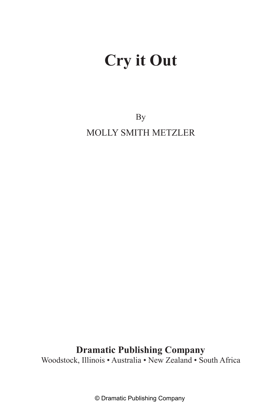# **Cry it Out**

By MOLLY SMITH METZLER

## **Dramatic Publishing Company**

Woodstock, Illinois • Australia • New Zealand • South Africa

© Dramatic Publishing Company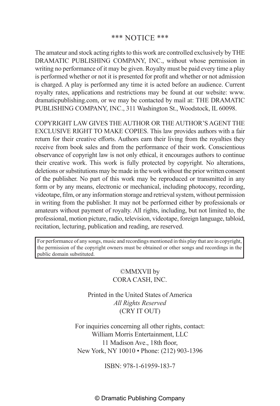#### \*\*\* NOTICE \*\*\*

The amateur and stock acting rights to this work are controlled exclusively by THE DRAMATIC PUBLISHING COMPANY, INC., without whose permission in writing no performance of it may be given. Royalty must be paid every time a play is performed whether or not it is presented for profit and whether or not admission is charged. A play is performed any time it is acted before an audience. Current royalty rates, applications and restrictions may be found at our website: www. dramaticpublishing.com, or we may be contacted by mail at: THE DRAMATIC PUBLISHING COMPANY, INC., 311 Washington St., Woodstock, IL 60098.

COPYRIGHT LAW GIVES THE AUTHOR OR THE AUTHOR'S AGENT THE EXCLUSIVE RIGHT TO MAKE COPIES. This law provides authors with a fair return for their creative efforts. Authors earn their living from the royalties they receive from book sales and from the performance of their work. Conscientious observance of copyright law is not only ethical, it encourages authors to continue their creative work. This work is fully protected by copyright. No alterations, deletions or substitutions may be made in the work without the prior written consent of the publisher. No part of this work may be reproduced or transmitted in any form or by any means, electronic or mechanical, including photocopy, recording, videotape, film, or any information storage and retrieval system, without permission in writing from the publisher. It may not be performed either by professionals or amateurs without payment of royalty. All rights, including, but not limited to, the professional, motion picture, radio, television, videotape, foreign language, tabloid, recitation, lecturing, publication and reading, are reserved.

For performance of any songs, music and recordings mentioned in this play that are in copyright, the permission of the copyright owners must be obtained or other songs and recordings in the public domain substituted.

#### ©MMXVII by CORA CASH, INC.

Printed in the United States of America *All Rights Reserved* (CRY IT OUT)

For inquiries concerning all other rights, contact: William Morris Entertainment, LLC 11 Madison Ave., 18th floor, New York, NY 10010 • Phone: (212) 903-1396

ISBN: 978-1-61959-183-7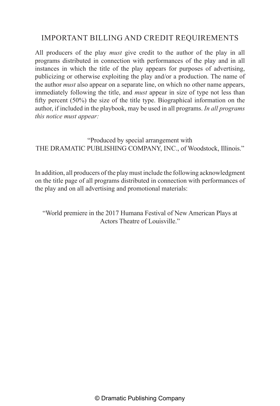#### IMPORTANT BILLING AND CREDIT REQUIREMENTS

All producers of the play *must* give credit to the author of the play in all programs distributed in connection with performances of the play and in all instances in which the title of the play appears for purposes of advertising, publicizing or otherwise exploiting the play and/or a production. The name of the author *must* also appear on a separate line, on which no other name appears, immediately following the title, and *must* appear in size of type not less than fifty percent (50%) the size of the title type. Biographical information on the author, if included in the playbook, may be used in all programs. *In all programs this notice must appear:*

"Produced by special arrangement with THE DRAMATIC PUBLISHING COMPANY, INC., of Woodstock, Illinois."

In addition, all producers of the play must include the following acknowledgment on the title page of all programs distributed in connection with performances of the play and on all advertising and promotional materials:

"World premiere in the 2017 Humana Festival of New American Plays at Actors Theatre of Louisville."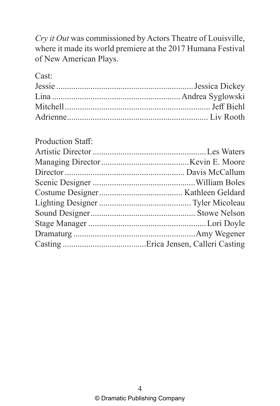*Cry it Out* was commissioned by Actors Theatre of Louisville, where it made its world premiere at the 2017 Humana Festival of New American Plays.

Cast:

| Production Staff: |  |
|-------------------|--|
|                   |  |
|                   |  |
|                   |  |
|                   |  |
|                   |  |
|                   |  |
|                   |  |
|                   |  |
|                   |  |
|                   |  |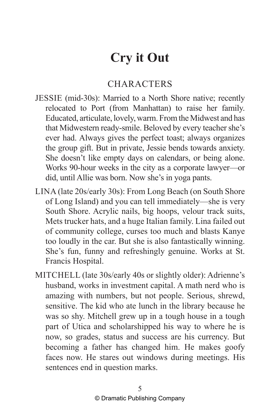# **Cry it Out**

### **CHARACTERS**

- JESSIE (mid-30s): Married to a North Shore native; recently relocated to Port (from Manhattan) to raise her family. Educated, articulate, lovely, warm. From the Midwest and has that Midwestern ready-smile. Beloved by every teacher she's ever had. Always gives the perfect toast; always organizes the group gift. But in private, Jessie bends towards anxiety. She doesn't like empty days on calendars, or being alone. Works 90-hour weeks in the city as a corporate lawyer—or did, until Allie was born. Now she's in yoga pants.
- LINA (late 20s/early 30s): From Long Beach (on South Shore of Long Island) and you can tell immediately—she is very South Shore. Acrylic nails, big hoops, velour track suits, Mets trucker hats, and a huge Italian family. Lina failed out of community college, curses too much and blasts Kanye too loudly in the car. But she is also fantastically winning. She's fun, funny and refreshingly genuine. Works at St. Francis Hospital.
- MITCHELL (late 30s/early 40s or slightly older): Adrienne's husband, works in investment capital. A math nerd who is amazing with numbers, but not people. Serious, shrewd, sensitive. The kid who ate lunch in the library because he was so shy. Mitchell grew up in a tough house in a tough part of Utica and scholarshipped his way to where he is now, so grades, status and success are his currency. But becoming a father has changed him. He makes goofy faces now. He stares out windows during meetings. His sentences end in question marks.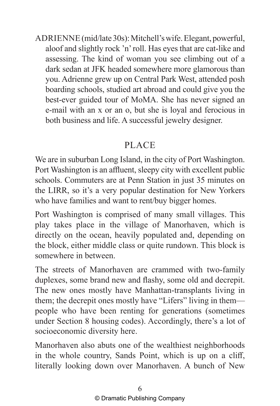ADRIENNE (mid/late 30s): Mitchell's wife. Elegant, powerful, aloof and slightly rock 'n' roll. Has eyes that are cat-like and assessing. The kind of woman you see climbing out of a dark sedan at JFK headed somewhere more glamorous than you. Adrienne grew up on Central Park West, attended posh boarding schools, studied art abroad and could give you the best-ever guided tour of MoMA. She has never signed an e-mail with an x or an o, but she is loyal and ferocious in both business and life. A successful jewelry designer.

## PLACE

We are in suburban Long Island, in the city of Port Washington. Port Washington is an affluent, sleepy city with excellent public schools. Commuters are at Penn Station in just 35 minutes on the LIRR, so it's a very popular destination for New Yorkers who have families and want to rent/buy bigger homes.

Port Washington is comprised of many small villages. This play takes place in the village of Manorhaven, which is directly on the ocean, heavily populated and, depending on the block, either middle class or quite rundown. This block is somewhere in between.

The streets of Manorhaven are crammed with two-family duplexes, some brand new and flashy, some old and decrepit. The new ones mostly have Manhattan-transplants living in them; the decrepit ones mostly have "Lifers" living in them people who have been renting for generations (sometimes under Section 8 housing codes). Accordingly, there's a lot of socioeconomic diversity here.

Manorhaven also abuts one of the wealthiest neighborhoods in the whole country, Sands Point, which is up on a cliff, literally looking down over Manorhaven. A bunch of New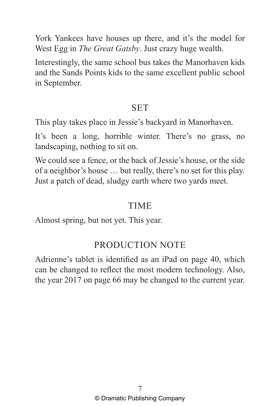York Yankees have houses up there, and it's the model for West Egg in *The Great Gatsby*. Just crazy huge wealth.

Interestingly, the same school bus takes the Manorhaven kids and the Sands Points kids to the same excellent public school in September.

#### SET

This play takes place in Jessie's backyard in Manorhaven.

It's been a long, horrible winter. There's no grass, no landscaping, nothing to sit on.

We could see a fence, or the back of Jessie's house, or the side of a neighbor's house … but really, there's no set for this play. Just a patch of dead, sludgy earth where two yards meet.

#### TIME

Almost spring, but not yet. This year.

#### PRODUCTION NOTE

Adrienne's tablet is identified as an iPad on page 40, which can be changed to reflect the most modern technology. Also, the year 2017 on page 66 may be changed to the current year.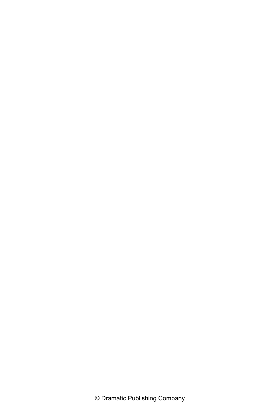© Dramatic Publishing Company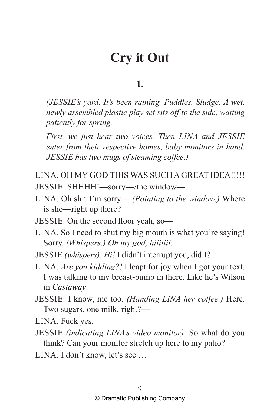## **Cry it Out**

#### **1.**

*(JESSIE's yard. It's been raining. Puddles. Sludge. A wet, newly assembled plastic play set sits off to the side, waiting patiently for spring.*

*First, we just hear two voices. Then LINA and JESSIE enter from their respective homes, baby monitors in hand. JESSIE has two mugs of steaming coffee.)*

LINA. OH MY GOD THIS WAS SUCH A GREAT IDEA!!!!! JESSIE. SHHHH!—sorry—/the window—

LINA. Oh shit I'm sorry— *(Pointing to the window.)* Where is she—right up there?

JESSIE. On the second floor yeah, so—

- LINA. So I need to shut my big mouth is what you're saying! Sorry. *(Whispers.) Oh my god, hiiiiiii.*
- JESSIE *(whispers)*. *Hi!* I didn't interrupt you, did I?
- LINA. *Are you kidding?!* I leapt for joy when I got your text. I was talking to my breast-pump in there. Like he's Wilson in *Castaway*.
- JESSIE. I know, me too. *(Handing LINA her coffee.)* Here. Two sugars, one milk, right?—
- LINA. Fuck yes.
- JESSIE *(indicating LINA's video monitor)*. So what do you think? Can your monitor stretch up here to my patio?
- LINA. I don't know, let's see …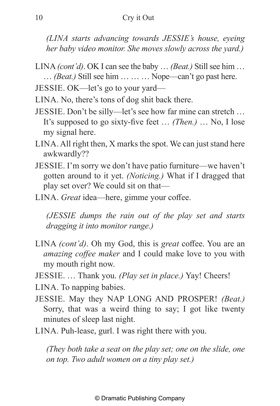*(LINA starts advancing towards JESSIE's house, eyeing her baby video monitor. She moves slowly across the yard.)*

LINA *(cont'd)*. OK I can see the baby … *(Beat.)* Still see him … … *(Beat.)* Still see him … … … Nope—can't go past here.

JESSIE. OK—let's go to your yard—

LINA. No, there's tons of dog shit back there.

- JESSIE. Don't be silly—let's see how far mine can stretch … It's supposed to go sixty-five feet … *(Then.)* … No, I lose my signal here.
- LINA. All right then, X marks the spot. We can just stand here awkwardly??
- JESSIE. I'm sorry we don't have patio furniture—we haven't gotten around to it yet. *(Noticing.)* What if I dragged that play set over? We could sit on that—
- LINA. *Great* idea—here, gimme your coffee.

*(JESSIE dumps the rain out of the play set and starts dragging it into monitor range.)*

- LINA *(cont'd)*. Oh my God, this is *great* coffee. You are an *amazing coffee maker* and I could make love to you with my mouth right now.
- JESSIE. … Thank you. *(Play set in place.)* Yay! Cheers!

LINA. To napping babies.

- JESSIE. May they NAP LONG AND PROSPER! *(Beat.)*  Sorry, that was a weird thing to say; I got like twenty minutes of sleep last night.
- LINA. Puh-lease, gurl. I was right there with you.

*(They both take a seat on the play set; one on the slide, one on top. Two adult women on a tiny play set.)*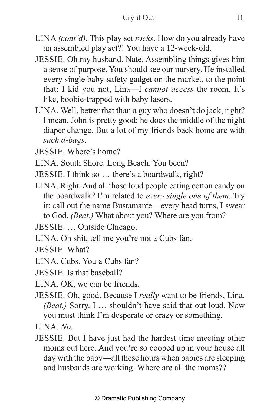- LINA *(cont'd)*. This play set *rocks*. How do you already have an assembled play set?! You have a 12-week-old.
- JESSIE. Oh my husband. Nate. Assembling things gives him a sense of purpose. You should see our nursery. He installed every single baby-safety gadget on the market, to the point that: I kid you not, Lina—I *cannot access* the room. It's like, boobie-trapped with baby lasers.
- LINA. Well, better that than a guy who doesn't do jack, right? I mean, John is pretty good: he does the middle of the night diaper change. But a lot of my friends back home are with *such d-bags*.
- JESSIE. Where's home?
- LINA. South Shore. Long Beach. You been?
- JESSIE. I think so … there's a boardwalk, right?
- LINA. Right. And all those loud people eating cotton candy on the boardwalk? I'm related to *every single one of them*. Try it: call out the name Bustamante—every head turns, I swear to God. *(Beat.)* What about you? Where are you from?
- JESSIE. … Outside Chicago.
- LINA. Oh shit, tell me you're not a Cubs fan.
- JESSIE. What?
- LINA. Cubs. You a Cubs fan?
- JESSIE. Is that baseball?
- LINA. OK, we can be friends.
- JESSIE. Oh, good. Because I *really* want to be friends, Lina. *(Beat.)* Sorry. I … shouldn't have said that out loud. Now you must think I'm desperate or crazy or something.
- LINA. *No.*
- JESSIE. But I have just had the hardest time meeting other moms out here. And you're so cooped up in your house all day with the baby—all these hours when babies are sleeping and husbands are working. Where are all the moms??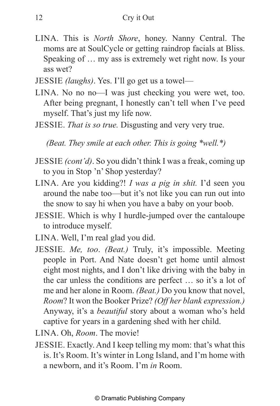- LINA. This is *North Shore*, honey. Nanny Central. The moms are at SoulCycle or getting raindrop facials at Bliss. Speaking of … my ass is extremely wet right now. Is your ass wet?
- JESSIE *(laughs)*. Yes. I'll go get us a towel—
- LINA. No no no—I was just checking you were wet, too. After being pregnant, I honestly can't tell when I've peed myself. That's just my life now.
- JESSIE. *That is so true.* Disgusting and very very true.

*(Beat. They smile at each other. This is going \*well.\*)*

- JESSIE *(cont'd)*. So you didn't think I was a freak, coming up to you in Stop 'n' Shop yesterday?
- LINA. Are you kidding?! *I was a pig in shit.* I'd seen you around the nabe too—but it's not like you can run out into the snow to say hi when you have a baby on your boob.
- JESSIE. Which is why I hurdle-jumped over the cantaloupe to introduce myself.
- LINA. Well, I'm real glad you did.
- JESSIE. *Me, too*. *(Beat.)* Truly, it's impossible. Meeting people in Port. And Nate doesn't get home until almost eight most nights, and I don't like driving with the baby in the car unless the conditions are perfect … so it's a lot of me and her alone in Room. *(Beat.)* Do you know that novel, *Room*? It won the Booker Prize? *(Off her blank expression.)*  Anyway, it's a *beautiful* story about a woman who's held captive for years in a gardening shed with her child.
- LINA. Oh, *Room*. The movie!
- JESSIE. Exactly. And I keep telling my mom: that's what this is. It's Room. It's winter in Long Island, and I'm home with a newborn, and it's Room. I'm *in* Room.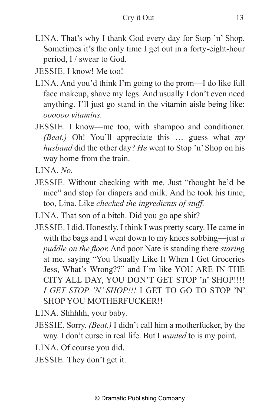LINA. That's why I thank God every day for Stop 'n' Shop. Sometimes it's the only time I get out in a forty-eight-hour period, I / swear to God.

JESSIE. I know! Me too!

- LINA. And you'd think I'm going to the prom—I do like full face makeup, shave my legs. And usually I don't even need anything. I'll just go stand in the vitamin aisle being like: *oooooo vitamins.*
- JESSIE. I know—me too, with shampoo and conditioner. *(Beat.)* Oh! You'll appreciate this … guess what *my husband* did the other day? *He* went to Stop 'n' Shop on his way home from the train.

LINA. *No.*

- JESSIE. Without checking with me. Just "thought he'd be nice" and stop for diapers and milk. And he took his time, too, Lina. Like *checked the ingredients of stuff.*
- LINA. That son of a bitch. Did you go ape shit?
- JESSIE. I did. Honestly, I think I was pretty scary. He came in with the bags and I went down to my knees sobbing—just *a puddle on the floor.* And poor Nate is standing there *staring*  at me, saying "You Usually Like It When I Get Groceries Jess, What's Wrong??" and I'm like YOU ARE IN THE CITY ALL DAY, YOU DON'T GET STOP 'n' SHOP!!!! *I GET STOP 'N' SHOP!!!* I GET TO GO TO STOP 'N' SHOP YOU MOTHERFUCKER!!

LINA. Shhhhh, your baby.

- JESSIE. Sorry. *(Beat.)* I didn't call him a motherfucker, by the way. I don't curse in real life. But I *wanted* to is my point.
- LINA. Of course you did.
- JESSIE. They don't get it.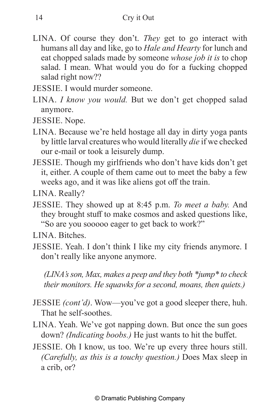- LINA. Of course they don't. *They* get to go interact with humans all day and like, go to *Hale and Hearty* for lunch and eat chopped salads made by someone *whose job it is* to chop salad. I mean. What would you do for a fucking chopped salad right now??
- JESSIE. I would murder someone.
- LINA. *I know you would.* But we don't get chopped salad anymore.
- JESSIE. Nope.
- LINA. Because we're held hostage all day in dirty yoga pants by little larval creatures who would literally *die* if we checked our e-mail or took a leisurely dump.
- JESSIE. Though my girlfriends who don't have kids don't get it, either. A couple of them came out to meet the baby a few weeks ago, and it was like aliens got off the train.

LINA. Really?

JESSIE. They showed up at 8:45 p.m. *To meet a baby.* And they brought stuff to make cosmos and asked questions like, "So are you sooooo eager to get back to work?"

LINA. Bitches.

JESSIE. Yeah. I don't think I like my city friends anymore. I don't really like anyone anymore.

*(LINA's son, Max, makes a peep and they both \*jump\* to check their monitors. He squawks for a second, moans, then quiets.)*

- JESSIE *(cont'd)*. Wow—you've got a good sleeper there, huh. That he self-soothes.
- LINA. Yeah. We've got napping down. But once the sun goes down? *(Indicating boobs.)* He just wants to hit the buffet.
- JESSIE. Oh I know, us too. We're up every three hours still. *(Carefully, as this is a touchy question.)* Does Max sleep in a crib, or?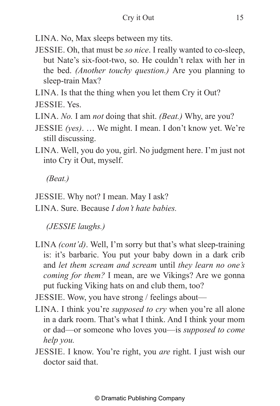LINA. No, Max sleeps between my tits.

JESSIE. Oh, that must be *so nice*. I really wanted to co-sleep, but Nate's six-foot-two, so. He couldn't relax with her in the bed. *(Another touchy question.)* Are you planning to sleep-train Max?

LINA. Is that the thing when you let them Cry it Out?

JESSIE. Yes.

- LINA. *No.* I am *not* doing that shit. *(Beat.)* Why, are you?
- JESSIE *(yes)*. … We might. I mean. I don't know yet. We're still discussing.
- LINA. Well, you do you, girl. No judgment here. I'm just not into Cry it Out, myself.

*(Beat.)*

JESSIE. Why not? I mean. May I ask?

LINA. Sure. Because *I don't hate babies.*

*(JESSIE laughs.)*

LINA *(cont'd)*. Well, I'm sorry but that's what sleep-training is: it's barbaric. You put your baby down in a dark crib and *let them scream and scream* until *they learn no one's coming for them?* I mean, are we Vikings? Are we gonna put fucking Viking hats on and club them, too?

JESSIE. Wow, you have strong / feelings about—

- LINA. I think you're *supposed to cry* when you're all alone in a dark room. That's what I think. And I think your mom or dad—or someone who loves you—is *supposed to come help you.*
- JESSIE. I know. You're right, you *are* right. I just wish our doctor said that.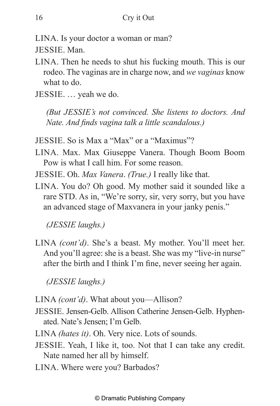LINA. Is your doctor a woman or man?

JESSIE. Man.

- LINA. Then he needs to shut his fucking mouth. This is our rodeo. The vaginas are in charge now, and *we vaginas* know what to do.
- JESSIE. … yeah we do.

*(But JESSIE's not convinced. She listens to doctors. And Nate. And finds vagina talk a little scandalous.)*

JESSIE. So is Max a "Max" or a "Maximus"?

- LINA. Max. Max Giuseppe Vanera. Though Boom Boom Pow is what I call him. For some reason.
- JESSIE. Oh. *Max Vanera*. *(True.)* I really like that.
- LINA. You do? Oh good. My mother said it sounded like a rare STD. As in, "We're sorry, sir, very sorry, but you have an advanced stage of Maxvanera in your janky penis."

*(JESSIE laughs.)*

LINA *(cont'd)*. She's a beast. My mother. You'll meet her. And you'll agree: she is a beast. She was my "live-in nurse" after the birth and I think I'm fine, never seeing her again.

*(JESSIE laughs.)*

LINA *(cont'd)*. What about you—Allison?

- JESSIE. Jensen-Gelb. Allison Catherine Jensen-Gelb. Hyphenated. Nate's Jensen; I'm Gelb.
- LINA *(hates it)*. Oh. Very nice. Lots of sounds.
- JESSIE. Yeah, I like it, too. Not that I can take any credit. Nate named her all by himself.
- LINA. Where were you? Barbados?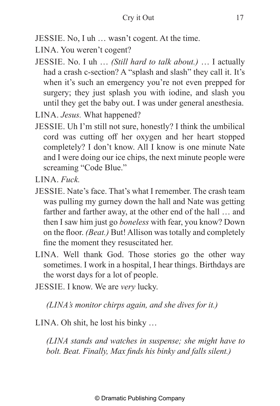JESSIE. No, I uh … wasn't cogent. At the time.

LINA. You weren't cogent?

- JESSIE. No. I uh … *(Still hard to talk about.)* … I actually had a crash c-section? A "splash and slash" they call it. It's when it's such an emergency you're not even prepped for surgery; they just splash you with iodine, and slash you until they get the baby out. I was under general anesthesia.
- LINA. *Jesus.* What happened?
- JESSIE. Uh I'm still not sure, honestly? I think the umbilical cord was cutting off her oxygen and her heart stopped completely? I don't know. All I know is one minute Nate and I were doing our ice chips, the next minute people were screaming "Code Blue."
- LINA. *Fuck.*
- JESSIE. Nate's face. That's what I remember. The crash team was pulling my gurney down the hall and Nate was getting farther and farther away, at the other end of the hall … and then I saw him just go *boneless* with fear, you know? Down on the floor. *(Beat.)* But! Allison was totally and completely fine the moment they resuscitated her.
- LINA. Well thank God. Those stories go the other way sometimes. I work in a hospital, I hear things. Birthdays are the worst days for a lot of people.
- JESSIE. I know. We are *very* lucky.

*(LINA's monitor chirps again, and she dives for it.)*

LINA. Oh shit, he lost his binky …

*(LINA stands and watches in suspense; she might have to bolt. Beat. Finally, Max finds his binky and falls silent.)*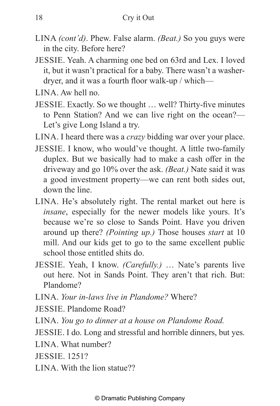- LINA *(cont'd)*. Phew. False alarm. *(Beat.)* So you guys were in the city. Before here?
- JESSIE. Yeah. A charming one bed on 63rd and Lex. I loved it, but it wasn't practical for a baby. There wasn't a washerdryer, and it was a fourth floor walk-up / which—
- LINA. Aw hell no.
- JESSIE. Exactly. So we thought … well? Thirty-five minutes to Penn Station? And we can live right on the ocean?— Let's give Long Island a try.
- LINA. I heard there was a *crazy* bidding war over your place.
- JESSIE. I know, who would've thought. A little two-family duplex. But we basically had to make a cash offer in the driveway and go 10% over the ask. *(Beat.)* Nate said it was a good investment property—we can rent both sides out, down the line.
- LINA. He's absolutely right. The rental market out here is *insane*, especially for the newer models like yours. It's because we're so close to Sands Point. Have you driven around up there? *(Pointing up.)* Those houses *start* at 10 mill. And our kids get to go to the same excellent public school those entitled shits do.
- JESSIE. Yeah, I know. *(Carefully.)* … Nate's parents live out here. Not in Sands Point. They aren't that rich. But: Plandome?
- LINA. *Your in-laws live in Plandome?* Where?

JESSIE. Plandome Road?

LINA. *You go to dinner at a house on Plandome Road.*

JESSIE. I do. Long and stressful and horrible dinners, but yes.

LINA. What number?

JESSIE. 1251?

LINA. With the lion statue??